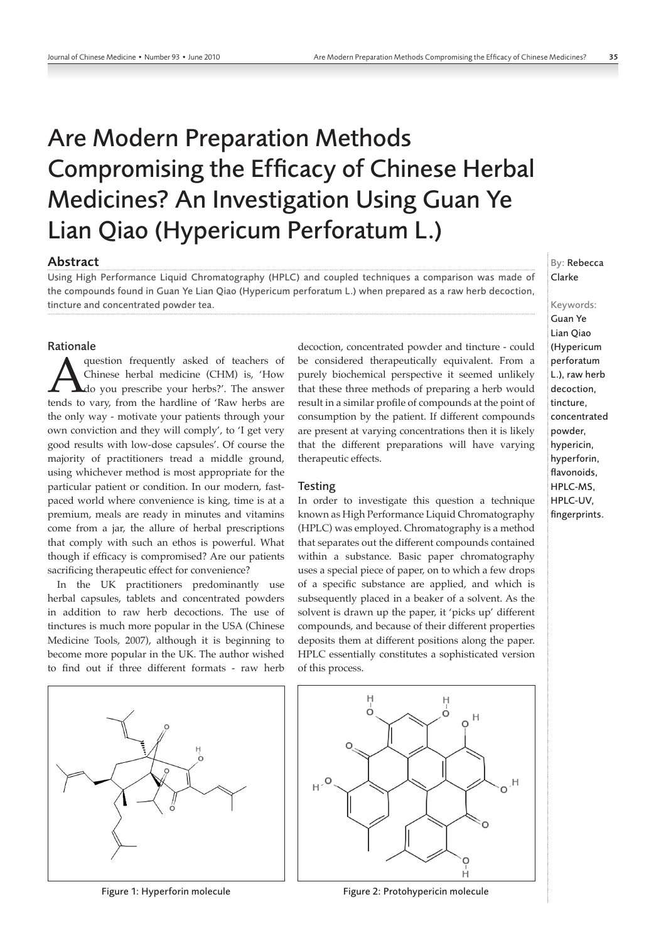# Are Modern Preparation Methods Compromising the Efficacy of Chinese Herbal Medicines? An Investigation Using Guan Ye Lian Qiao (Hypericum Perforatum L.)

## Abstract

Using High Performance Liquid Chromatography (HPLC) and coupled techniques a comparison was made of the compounds found in Guan Ye Lian Qiao (Hypericum perforatum L.) when prepared as a raw herb decoction, tincture and concentrated powder tea.

#### Rationale

**A** question frequently asked of teachers of Chinese herbal medicine (CHM) is, 'How do you prescribe your herbs?'. The answer tends to vary, from the hardline of 'Raw herbs are Chinese herbal medicine (CHM) is, 'How do you prescribe your herbs?'. The answer the only way - motivate your patients through your own conviction and they will comply', to 'I get very good results with low-dose capsules'. Of course the majority of practitioners tread a middle ground, using whichever method is most appropriate for the particular patient or condition. In our modern, fastpaced world where convenience is king, time is at a premium, meals are ready in minutes and vitamins come from a jar, the allure of herbal prescriptions that comply with such an ethos is powerful. What though if efficacy is compromised? Are our patients sacrificing therapeutic effect for convenience?

In the UK practitioners predominantly use herbal capsules, tablets and concentrated powders in addition to raw herb decoctions. The use of tinctures is much more popular in the USA (Chinese Medicine Tools, 2007), although it is beginning to become more popular in the UK. The author wished to find out if three different formats - raw herb

Figure 1: Hyperforin molecule Figure 2: Protohypericin molecule

decoction, concentrated powder and tincture - could be considered therapeutically equivalent. From a purely biochemical perspective it seemed unlikely that these three methods of preparing a herb would result in a similar profile of compounds at the point of consumption by the patient. If different compounds are present at varying concentrations then it is likely that the different preparations will have varying therapeutic effects.

### **Testing**

In order to investigate this question a technique known as High Performance Liquid Chromatography (HPLC) was employed. Chromatography is a method that separates out the different compounds contained within a substance. Basic paper chromatography uses a special piece of paper, on to which a few drops of a specific substance are applied, and which is subsequently placed in a beaker of a solvent. As the solvent is drawn up the paper, it 'picks up' different compounds, and because of their different properties deposits them at different positions along the paper. HPLC essentially constitutes a sophisticated version of this process.



By: Rebecca Clarke

Keywords: Guan Ye Lian Qiao (Hypericum perforatum L.), raw herb decoction, tincture, concentrated powder, hypericin, hyperforin, flavonoids, HPLC-MS, HPLC-UV, fingerprints.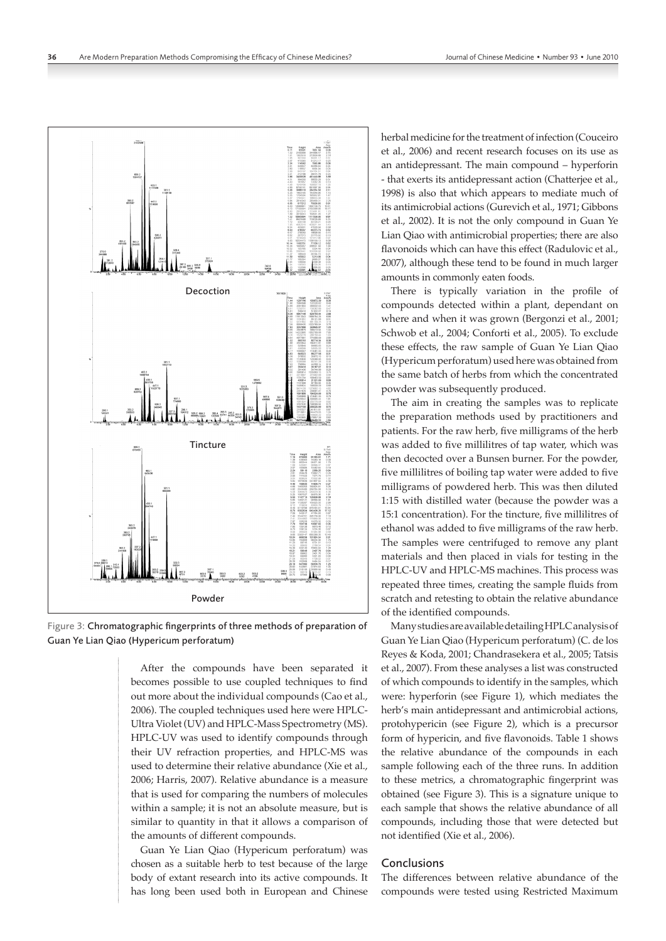

Figure 3: Chromatographic fingerprints of three methods of preparation of Guan Ye Lian Qiao (Hypericum perforatum)

After the compounds have been separated it becomes possible to use coupled techniques to find out more about the individual compounds (Cao et al., 2006). The coupled techniques used here were HPLC-Ultra Violet (UV) and HPLC-Mass Spectrometry (MS). HPLC-UV was used to identify compounds through their UV refraction properties, and HPLC-MS was used to determine their relative abundance (Xie et al., 2006; Harris, 2007). Relative abundance is a measure that is used for comparing the numbers of molecules within a sample; it is not an absolute measure, but is similar to quantity in that it allows a comparison of the amounts of different compounds.

Guan Ye Lian Qiao (Hypericum perforatum) was chosen as a suitable herb to test because of the large body of extant research into its active compounds. It has long been used both in European and Chinese herbal medicine for the treatment of infection (Couceiro et al., 2006) and recent research focuses on its use as an antidepressant. The main compound – hyperforin - that exerts its antidepressant action (Chatterjee et al., 1998) is also that which appears to mediate much of its antimicrobial actions (Gurevich et al., 1971; Gibbons et al., 2002). It is not the only compound in Guan Ye Lian Qiao with antimicrobial properties; there are also flavonoids which can have this effect (Radulovic et al., 2007), although these tend to be found in much larger amounts in commonly eaten foods.

There is typically variation in the profile of compounds detected within a plant, dependant on where and when it was grown (Bergonzi et al., 2001; Schwob et al., 2004; Conforti et al., 2005). To exclude these effects, the raw sample of Guan Ye Lian Qiao (Hypericum perforatum) used here was obtained from the same batch of herbs from which the concentrated powder was subsequently produced.

The aim in creating the samples was to replicate the preparation methods used by practitioners and patients. For the raw herb, five milligrams of the herb was added to five millilitres of tap water, which was then decocted over a Bunsen burner. For the powder, five millilitres of boiling tap water were added to five milligrams of powdered herb. This was then diluted 1:15 with distilled water (because the powder was a 15:1 concentration). For the tincture, five millilitres of ethanol was added to five milligrams of the raw herb. The samples were centrifuged to remove any plant materials and then placed in vials for testing in the HPLC-UV and HPLC-MS machines. This process was repeated three times, creating the sample fluids from scratch and retesting to obtain the relative abundance of the identified compounds.

Many studies are available detailing HPLC analysis of Guan Ye Lian Qiao (Hypericum perforatum) (C. de los Reyes & Koda, 2001; Chandrasekera et al., 2005; Tatsis et al., 2007). From these analyses a list was constructed of which compounds to identify in the samples, which were: hyperforin (see Figure 1), which mediates the herb's main antidepressant and antimicrobial actions, protohypericin (see Figure 2), which is a precursor form of hypericin, and five flavonoids. Table 1 shows the relative abundance of the compounds in each sample following each of the three runs. In addition to these metrics, a chromatographic fingerprint was obtained (see Figure 3). This is a signature unique to each sample that shows the relative abundance of all compounds, including those that were detected but not identified (Xie et al., 2006).

## Conclusions

The differences between relative abundance of the compounds were tested using Restricted Maximum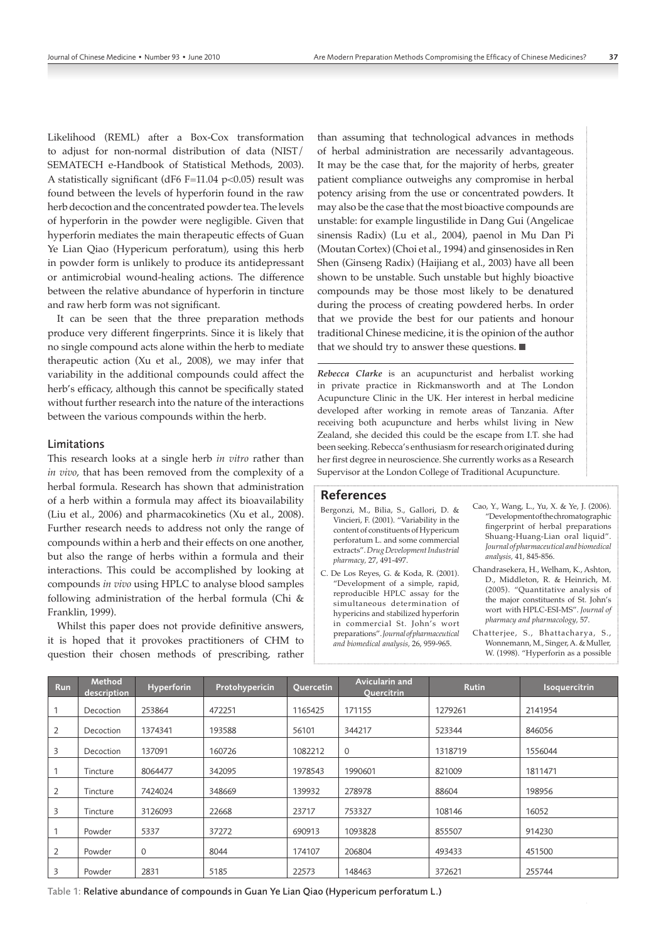Likelihood (REML) after a Box-Cox transformation to adjust for non-normal distribution of data (NIST/ SEMATECH e-Handbook of Statistical Methods, 2003). A statistically significant (dF6 F=11.04 p<0.05) result was found between the levels of hyperforin found in the raw herb decoction and the concentrated powder tea. The levels of hyperforin in the powder were negligible. Given that hyperforin mediates the main therapeutic effects of Guan Ye Lian Qiao (Hypericum perforatum), using this herb in powder form is unlikely to produce its antidepressant or antimicrobial wound-healing actions. The difference between the relative abundance of hyperforin in tincture and raw herb form was not significant.

It can be seen that the three preparation methods produce very different fingerprints. Since it is likely that no single compound acts alone within the herb to mediate therapeutic action (Xu et al., 2008), we may infer that variability in the additional compounds could affect the herb's efficacy, although this cannot be specifically stated without further research into the nature of the interactions between the various compounds within the herb.

#### Limitations

This research looks at a single herb *in vitro* rather than *in vivo*, that has been removed from the complexity of a herbal formula. Research has shown that administration of a herb within a formula may affect its bioavailability (Liu et al., 2006) and pharmacokinetics (Xu et al., 2008). Further research needs to address not only the range of compounds within a herb and their effects on one another, but also the range of herbs within a formula and their interactions. This could be accomplished by looking at compounds *in vivo* using HPLC to analyse blood samples following administration of the herbal formula (Chi & Franklin, 1999).

Whilst this paper does not provide definitive answers, it is hoped that it provokes practitioners of CHM to question their chosen methods of prescribing, rather than assuming that technological advances in methods of herbal administration are necessarily advantageous. It may be the case that, for the majority of herbs, greater patient compliance outweighs any compromise in herbal potency arising from the use or concentrated powders. It may also be the case that the most bioactive compounds are unstable: for example lingustilide in Dang Gui (Angelicae sinensis Radix) (Lu et al., 2004), paenol in Mu Dan Pi (Moutan Cortex) (Choi et al., 1994) and ginsenosides in Ren Shen (Ginseng Radix) (Haijiang et al., 2003) have all been shown to be unstable. Such unstable but highly bioactive compounds may be those most likely to be denatured during the process of creating powdered herbs. In order that we provide the best for our patients and honour traditional Chinese medicine, it is the opinion of the author that we should try to answer these questions.

*Rebecca Clarke* is an acupuncturist and herbalist working in private practice in Rickmansworth and at The London Acupuncture Clinic in the UK. Her interest in herbal medicine developed after working in remote areas of Tanzania. After receiving both acupuncture and herbs whilst living in New Zealand, she decided this could be the escape from I.T. she had been seeking. Rebecca's enthusiasm for research originated during her first degree in neuroscience. She currently works as a Research Supervisor at the London College of Traditional Acupuncture.

### References

- Bergonzi, M., Bilia, S., Gallori, D. & Vincieri, F. (2001). "Variability in the content of constituents of Hypericum perforatum L. and some commercial extracts". *Drug Development Industrial pharmacy,* 27, 491-497.
- C. De Los Reyes, G. & Koda, R. (2001). "Development of a simple, rapid, reproducible HPLC assay for the simultaneous determination of hypericins and stabilized hyperforin in commercial St. John's wort preparations". *Journal of pharmaceutical and biomedical analysis,* 26, 959-965.
- Cao, Y., Wang, L., Yu, X. & Ye, J. (2006). "Development of the chromatographic fingerprint of herbal preparations Shuang-Huang-Lian oral liquid". *Journal of pharmaceutical and biomedical analysis,* 41, 845-856.
- Chandrasekera, H., Welham, K., Ashton, D., Middleton, R. & Heinrich, M. (2005). "Quantitative analysis of the major constituents of St. John's wort with HPLC-ESI-MS". *Journal of pharmacy and pharmacology,* 57.

Chatterjee, S., Bhattacharya, S., Wonnemann, M., Singer, A. & Muller, W. (1998). "Hyperforin as a possible

| <b>Run</b> | Method<br>description | Hyperforin  | Protohypericin | <b>Quercetin</b> | Avicularin and<br><b>Quercitrin</b> | <b>Rutin</b> | Isoquercitrin |
|------------|-----------------------|-------------|----------------|------------------|-------------------------------------|--------------|---------------|
|            | Decoction             | 253864      | 472251         | 1165425          | 171155                              | 1279261      | 2141954       |
| 2          | Decoction             | 1374341     | 193588         | 56101            | 344217                              | 523344       | 846056        |
| 3          | Decoction             | 137091      | 160726         | 1082212          | $\Omega$                            | 1318719      | 1556044       |
|            | Tincture              | 8064477     | 342095         | 1978543          | 1990601                             | 821009       | 1811471       |
| 2          | Tincture              | 7424024     | 348669         | 139932           | 278978                              | 88604        | 198956        |
| 3          | Tincture              | 3126093     | 22668          | 23717            | 753327                              | 108146       | 16052         |
|            | Powder                | 5337        | 37272          | 690913           | 1093828                             | 855507       | 914230        |
|            | Powder                | $\mathbf 0$ | 8044           | 174107           | 206804                              | 493433       | 451500        |
| 3          | Powder                | 2831        | 5185           | 22573            | 148463                              | 372621       | 255744        |

Table 1: Relative abundance of compounds in Guan Ye Lian Qiao (Hypericum perforatum L.)